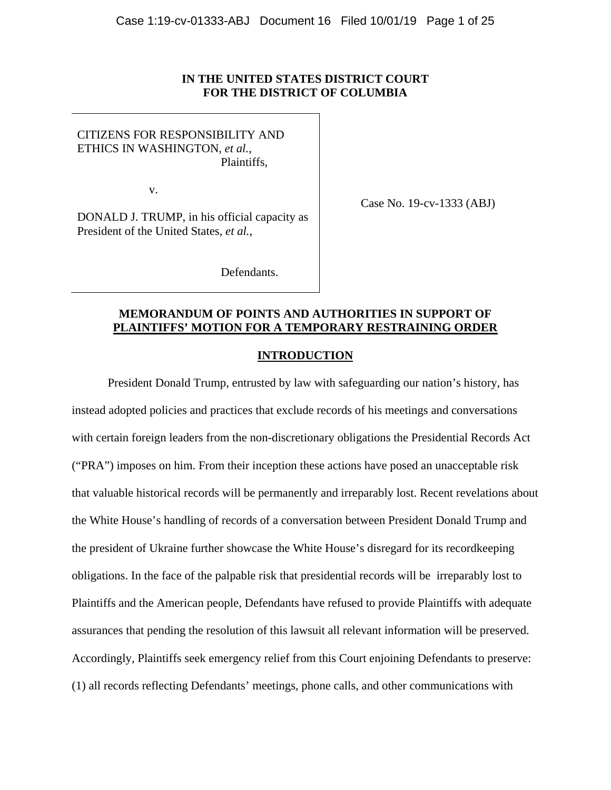### **IN THE UNITED STATES DISTRICT COURT FOR THE DISTRICT OF COLUMBIA**

CITIZENS FOR RESPONSIBILITY AND ETHICS IN WASHINGTON, *et al.*, Plaintiffs,

v.

DONALD J. TRUMP, in his official capacity as President of the United States, *et al.*,

Case No. 19-cv-1333 (ABJ)

Defendants.

# **MEMORANDUM OF POINTS AND AUTHORITIES IN SUPPORT OF PLAINTIFFS' MOTION FOR A TEMPORARY RESTRAINING ORDER**

#### **INTRODUCTION**

President Donald Trump, entrusted by law with safeguarding our nation's history, has instead adopted policies and practices that exclude records of his meetings and conversations with certain foreign leaders from the non-discretionary obligations the Presidential Records Act ("PRA") imposes on him. From their inception these actions have posed an unacceptable risk that valuable historical records will be permanently and irreparably lost. Recent revelations about the White House's handling of records of a conversation between President Donald Trump and the president of Ukraine further showcase the White House's disregard for its recordkeeping obligations. In the face of the palpable risk that presidential records will be irreparably lost to Plaintiffs and the American people, Defendants have refused to provide Plaintiffs with adequate assurances that pending the resolution of this lawsuit all relevant information will be preserved. Accordingly, Plaintiffs seek emergency relief from this Court enjoining Defendants to preserve: (1) all records reflecting Defendants' meetings, phone calls, and other communications with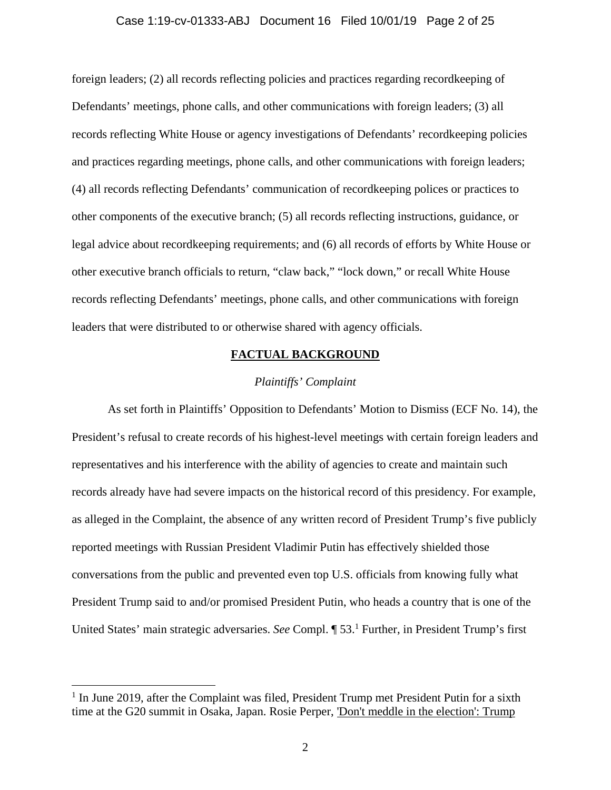#### Case 1:19-cv-01333-ABJ Document 16 Filed 10/01/19 Page 2 of 25

foreign leaders; (2) all records reflecting policies and practices regarding recordkeeping of Defendants' meetings, phone calls, and other communications with foreign leaders; (3) all records reflecting White House or agency investigations of Defendants' recordkeeping policies and practices regarding meetings, phone calls, and other communications with foreign leaders; (4) all records reflecting Defendants' communication of recordkeeping polices or practices to other components of the executive branch; (5) all records reflecting instructions, guidance, or legal advice about recordkeeping requirements; and (6) all records of efforts by White House or other executive branch officials to return, "claw back," "lock down," or recall White House records reflecting Defendants' meetings, phone calls, and other communications with foreign leaders that were distributed to or otherwise shared with agency officials.

#### **FACTUAL BACKGROUND**

#### *Plaintiffs' Complaint*

As set forth in Plaintiffs' Opposition to Defendants' Motion to Dismiss (ECF No. 14), the President's refusal to create records of his highest-level meetings with certain foreign leaders and representatives and his interference with the ability of agencies to create and maintain such records already have had severe impacts on the historical record of this presidency. For example, as alleged in the Complaint, the absence of any written record of President Trump's five publicly reported meetings with Russian President Vladimir Putin has effectively shielded those conversations from the public and prevented even top U.S. officials from knowing fully what President Trump said to and/or promised President Putin, who heads a country that is one of the United States' main strategic adversaries. See Compl. ¶ 53.<sup>1</sup> Further, in President Trump's first

<sup>&</sup>lt;sup>1</sup> In June 2019, after the Complaint was filed, President Trump met President Putin for a sixth time at the G20 summit in Osaka, Japan. Rosie Perper, 'Don't meddle in the election': Trump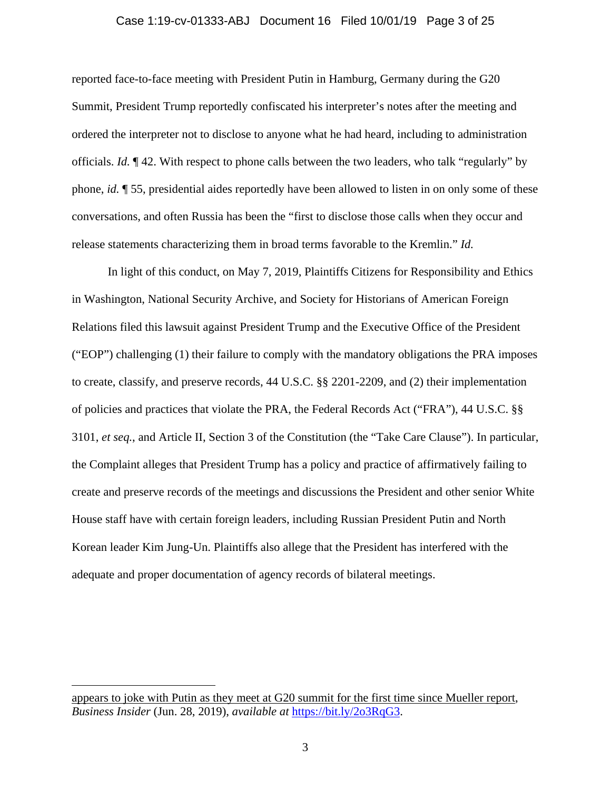#### Case 1:19-cv-01333-ABJ Document 16 Filed 10/01/19 Page 3 of 25

reported face-to-face meeting with President Putin in Hamburg, Germany during the G20 Summit, President Trump reportedly confiscated his interpreter's notes after the meeting and ordered the interpreter not to disclose to anyone what he had heard, including to administration officials. *Id.* ¶ 42. With respect to phone calls between the two leaders, who talk "regularly" by phone, *id.* ¶ 55, presidential aides reportedly have been allowed to listen in on only some of these conversations, and often Russia has been the "first to disclose those calls when they occur and release statements characterizing them in broad terms favorable to the Kremlin." *Id.* 

In light of this conduct, on May 7, 2019, Plaintiffs Citizens for Responsibility and Ethics in Washington, National Security Archive, and Society for Historians of American Foreign Relations filed this lawsuit against President Trump and the Executive Office of the President ("EOP") challenging (1) their failure to comply with the mandatory obligations the PRA imposes to create, classify, and preserve records, 44 U.S.C. §§ 2201-2209, and (2) their implementation of policies and practices that violate the PRA, the Federal Records Act ("FRA"), 44 U.S.C. §§ 3101, *et seq.*, and Article II, Section 3 of the Constitution (the "Take Care Clause"). In particular, the Complaint alleges that President Trump has a policy and practice of affirmatively failing to create and preserve records of the meetings and discussions the President and other senior White House staff have with certain foreign leaders, including Russian President Putin and North Korean leader Kim Jung-Un. Plaintiffs also allege that the President has interfered with the adequate and proper documentation of agency records of bilateral meetings.

appears to joke with Putin as they meet at G20 summit for the first time since Mueller report, *Business Insider* (Jun. 28, 2019), *available at* https://bit.ly/2o3RqG3.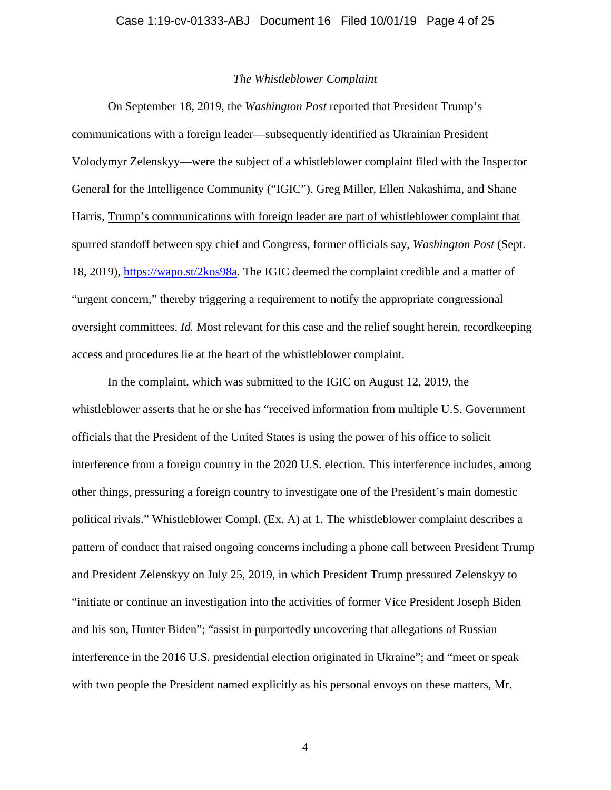#### *The Whistleblower Complaint*

 On September 18, 2019, the *Washington Post* reported that President Trump's communications with a foreign leader—subsequently identified as Ukrainian President Volodymyr Zelenskyy—were the subject of a whistleblower complaint filed with the Inspector General for the Intelligence Community ("IGIC"). Greg Miller, Ellen Nakashima, and Shane Harris, Trump's communications with foreign leader are part of whistleblower complaint that spurred standoff between spy chief and Congress, former officials say, *Washington Post* (Sept. 18, 2019), https://wapo.st/2kos98a. The IGIC deemed the complaint credible and a matter of "urgent concern," thereby triggering a requirement to notify the appropriate congressional oversight committees. *Id.* Most relevant for this case and the relief sought herein, recordkeeping access and procedures lie at the heart of the whistleblower complaint.

In the complaint, which was submitted to the IGIC on August 12, 2019, the whistleblower asserts that he or she has "received information from multiple U.S. Government officials that the President of the United States is using the power of his office to solicit interference from a foreign country in the 2020 U.S. election. This interference includes, among other things, pressuring a foreign country to investigate one of the President's main domestic political rivals." Whistleblower Compl. (Ex. A) at 1. The whistleblower complaint describes a pattern of conduct that raised ongoing concerns including a phone call between President Trump and President Zelenskyy on July 25, 2019, in which President Trump pressured Zelenskyy to "initiate or continue an investigation into the activities of former Vice President Joseph Biden and his son, Hunter Biden"; "assist in purportedly uncovering that allegations of Russian interference in the 2016 U.S. presidential election originated in Ukraine"; and "meet or speak with two people the President named explicitly as his personal envoys on these matters, Mr.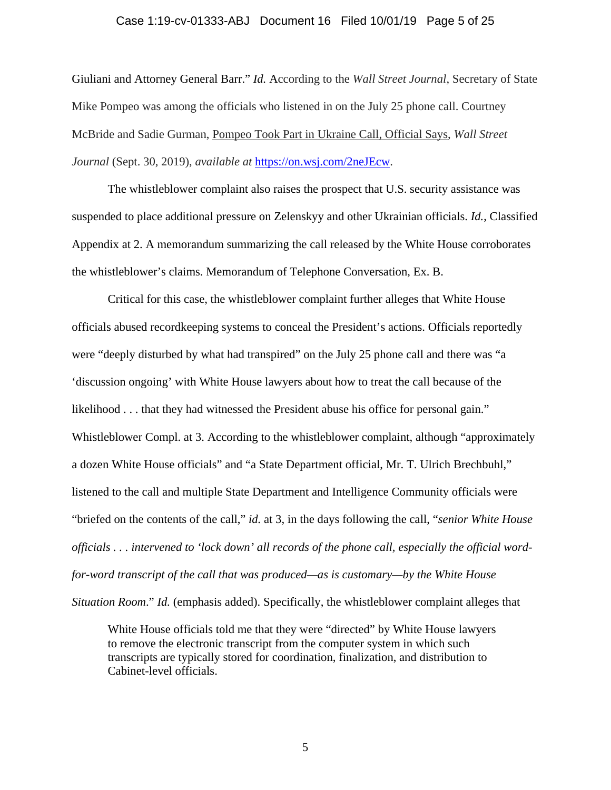#### Case 1:19-cv-01333-ABJ Document 16 Filed 10/01/19 Page 5 of 25

Giuliani and Attorney General Barr." *Id.* According to the *Wall Street Journal*, Secretary of State Mike Pompeo was among the officials who listened in on the July 25 phone call. Courtney McBride and Sadie Gurman, Pompeo Took Part in Ukraine Call, Official Says, *Wall Street Journal* (Sept. 30, 2019), *available at* https://on.wsj.com/2neJEcw.

The whistleblower complaint also raises the prospect that U.S. security assistance was suspended to place additional pressure on Zelenskyy and other Ukrainian officials. *Id.*, Classified Appendix at 2. A memorandum summarizing the call released by the White House corroborates the whistleblower's claims. Memorandum of Telephone Conversation, Ex. B.

Critical for this case, the whistleblower complaint further alleges that White House officials abused recordkeeping systems to conceal the President's actions. Officials reportedly were "deeply disturbed by what had transpired" on the July 25 phone call and there was "a 'discussion ongoing' with White House lawyers about how to treat the call because of the likelihood . . . that they had witnessed the President abuse his office for personal gain." Whistleblower Compl. at 3. According to the whistleblower complaint, although "approximately a dozen White House officials" and "a State Department official, Mr. T. Ulrich Brechbuhl," listened to the call and multiple State Department and Intelligence Community officials were "briefed on the contents of the call," *id.* at 3, in the days following the call, "*senior White House officials . . . intervened to 'lock down' all records of the phone call, especially the official wordfor-word transcript of the call that was produced—as is customary—by the White House* 

*Situation Room*." *Id.* (emphasis added). Specifically, the whistleblower complaint alleges that

White House officials told me that they were "directed" by White House lawyers to remove the electronic transcript from the computer system in which such transcripts are typically stored for coordination, finalization, and distribution to Cabinet-level officials.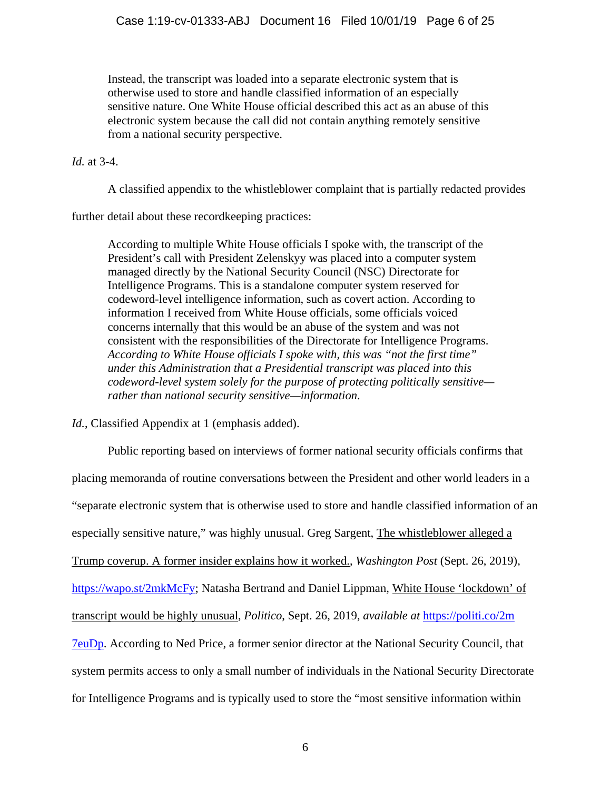Instead, the transcript was loaded into a separate electronic system that is otherwise used to store and handle classified information of an especially sensitive nature. One White House official described this act as an abuse of this electronic system because the call did not contain anything remotely sensitive from a national security perspective.

# *Id.* at 3-4.

A classified appendix to the whistleblower complaint that is partially redacted provides

further detail about these recordkeeping practices:

According to multiple White House officials I spoke with, the transcript of the President's call with President Zelenskyy was placed into a computer system managed directly by the National Security Council (NSC) Directorate for Intelligence Programs. This is a standalone computer system reserved for codeword-level intelligence information, such as covert action. According to information I received from White House officials, some officials voiced concerns internally that this would be an abuse of the system and was not consistent with the responsibilities of the Directorate for Intelligence Programs. *According to White House officials I spoke with, this was "not the first time" under this Administration that a Presidential transcript was placed into this codeword-level system solely for the purpose of protecting politically sensitive rather than national security sensitive—information*.

*Id.*, Classified Appendix at 1 (emphasis added).

 Public reporting based on interviews of former national security officials confirms that placing memoranda of routine conversations between the President and other world leaders in a "separate electronic system that is otherwise used to store and handle classified information of an especially sensitive nature," was highly unusual. Greg Sargent, The whistleblower alleged a Trump coverup. A former insider explains how it worked., *Washington Post* (Sept. 26, 2019)*,*  https://wapo.st/2mkMcFy; Natasha Bertrand and Daniel Lippman, White House 'lockdown' of transcript would be highly unusual, *Politico*, Sept. 26, 2019, *available at* https://politi.co/2m 7euDp. According to Ned Price, a former senior director at the National Security Council, that system permits access to only a small number of individuals in the National Security Directorate for Intelligence Programs and is typically used to store the "most sensitive information within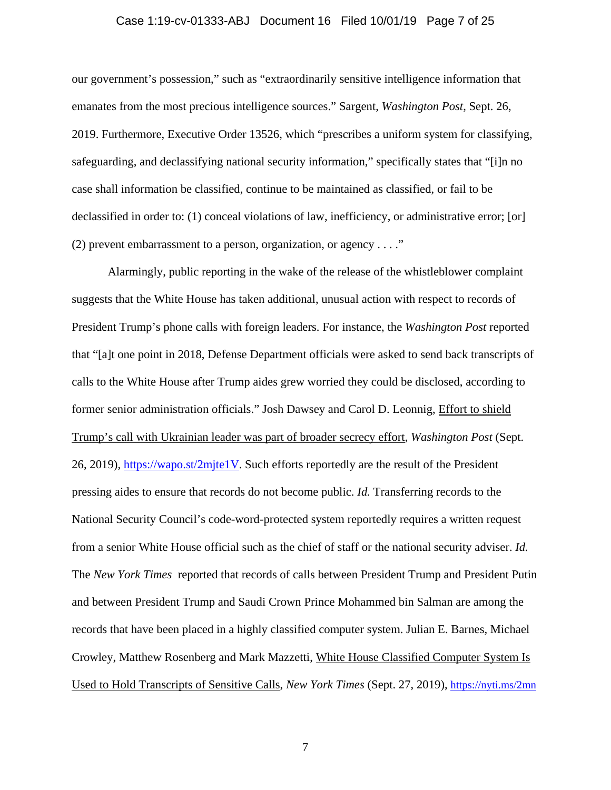#### Case 1:19-cv-01333-ABJ Document 16 Filed 10/01/19 Page 7 of 25

our government's possession," such as "extraordinarily sensitive intelligence information that emanates from the most precious intelligence sources." Sargent, *Washington Post*, Sept. 26, 2019. Furthermore, Executive Order 13526, which "prescribes a uniform system for classifying, safeguarding, and declassifying national security information," specifically states that "[i]n no case shall information be classified, continue to be maintained as classified, or fail to be declassified in order to: (1) conceal violations of law, inefficiency, or administrative error; [or] (2) prevent embarrassment to a person, organization, or agency  $\dots$ ."

 Alarmingly, public reporting in the wake of the release of the whistleblower complaint suggests that the White House has taken additional, unusual action with respect to records of President Trump's phone calls with foreign leaders. For instance, the *Washington Post* reported that "[a]t one point in 2018, Defense Department officials were asked to send back transcripts of calls to the White House after Trump aides grew worried they could be disclosed, according to former senior administration officials." Josh Dawsey and Carol D. Leonnig, Effort to shield Trump's call with Ukrainian leader was part of broader secrecy effort, *Washington Post* (Sept. 26, 2019), https://wapo.st/2mjte1V. Such efforts reportedly are the result of the President pressing aides to ensure that records do not become public. *Id.* Transferring records to the National Security Council's code-word-protected system reportedly requires a written request from a senior White House official such as the chief of staff or the national security adviser. *Id.*  The *New York Times* reported that records of calls between President Trump and President Putin and between President Trump and Saudi Crown Prince Mohammed bin Salman are among the records that have been placed in a highly classified computer system. Julian E. Barnes, Michael Crowley, Matthew Rosenberg and Mark Mazzetti, White House Classified Computer System Is Used to Hold Transcripts of Sensitive Calls, *New York Times* (Sept. 27, 2019), https://nyti.ms/2mn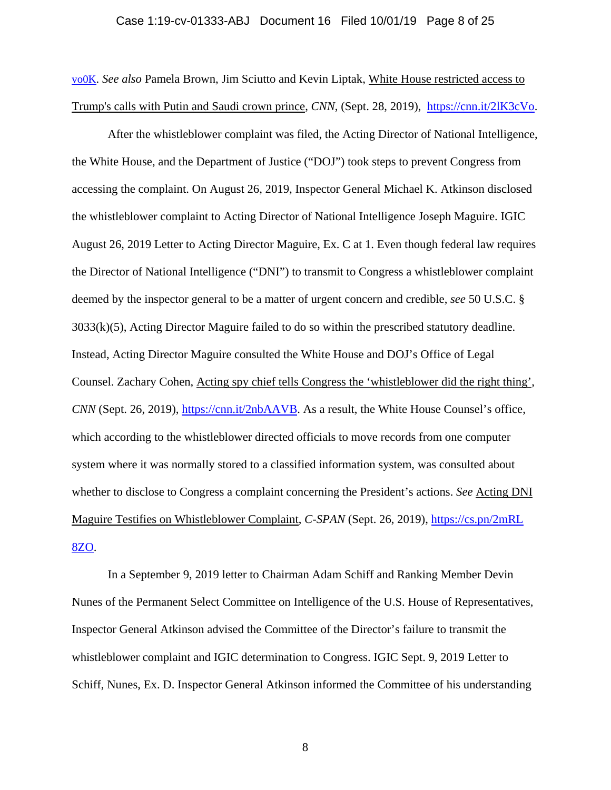#### Case 1:19-cv-01333-ABJ Document 16 Filed 10/01/19 Page 8 of 25

vo0K. *See also* Pamela Brown, Jim Sciutto and Kevin Liptak, White House restricted access to Trump's calls with Putin and Saudi crown prince, *CNN*, (Sept. 28, 2019), https://cnn.it/2lK3cVo.

 After the whistleblower complaint was filed, the Acting Director of National Intelligence, the White House, and the Department of Justice ("DOJ") took steps to prevent Congress from accessing the complaint. On August 26, 2019, Inspector General Michael K. Atkinson disclosed the whistleblower complaint to Acting Director of National Intelligence Joseph Maguire. IGIC August 26, 2019 Letter to Acting Director Maguire, Ex. C at 1. Even though federal law requires the Director of National Intelligence ("DNI") to transmit to Congress a whistleblower complaint deemed by the inspector general to be a matter of urgent concern and credible, *see* 50 U.S.C. § 3033(k)(5), Acting Director Maguire failed to do so within the prescribed statutory deadline. Instead, Acting Director Maguire consulted the White House and DOJ's Office of Legal Counsel. Zachary Cohen, Acting spy chief tells Congress the 'whistleblower did the right thing', *CNN* (Sept. 26, 2019), https://cnn.it/2nbAAVB. As a result, the White House Counsel's office, which according to the whistleblower directed officials to move records from one computer system where it was normally stored to a classified information system, was consulted about whether to disclose to Congress a complaint concerning the President's actions. *See* Acting DNI Maguire Testifies on Whistleblower Complaint, *C-SPAN* (Sept. 26, 2019), https://cs.pn/2mRL 8ZO.

In a September 9, 2019 letter to Chairman Adam Schiff and Ranking Member Devin Nunes of the Permanent Select Committee on Intelligence of the U.S. House of Representatives, Inspector General Atkinson advised the Committee of the Director's failure to transmit the whistleblower complaint and IGIC determination to Congress. IGIC Sept. 9, 2019 Letter to Schiff, Nunes, Ex. D. Inspector General Atkinson informed the Committee of his understanding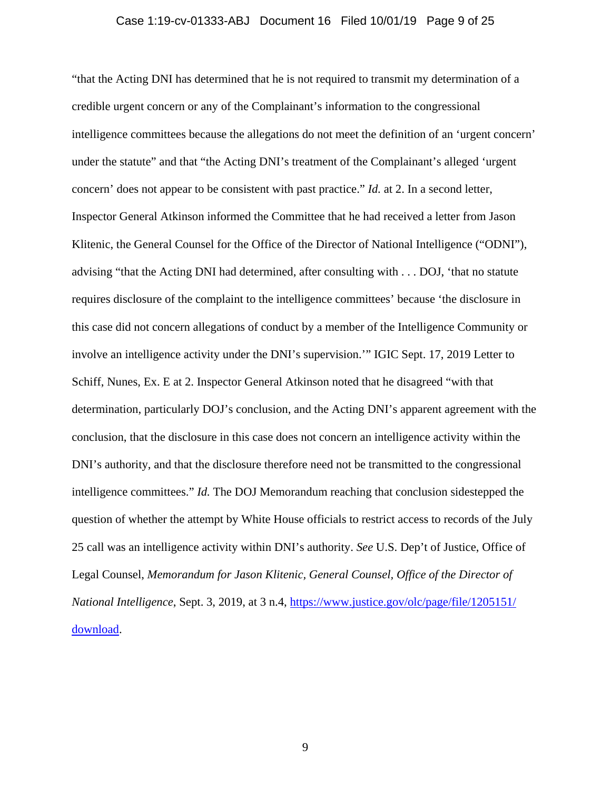#### Case 1:19-cv-01333-ABJ Document 16 Filed 10/01/19 Page 9 of 25

"that the Acting DNI has determined that he is not required to transmit my determination of a credible urgent concern or any of the Complainant's information to the congressional intelligence committees because the allegations do not meet the definition of an 'urgent concern' under the statute" and that "the Acting DNI's treatment of the Complainant's alleged 'urgent concern' does not appear to be consistent with past practice." *Id.* at 2. In a second letter, Inspector General Atkinson informed the Committee that he had received a letter from Jason Klitenic, the General Counsel for the Office of the Director of National Intelligence ("ODNI"), advising "that the Acting DNI had determined, after consulting with . . . DOJ, 'that no statute requires disclosure of the complaint to the intelligence committees' because 'the disclosure in this case did not concern allegations of conduct by a member of the Intelligence Community or involve an intelligence activity under the DNI's supervision.'" IGIC Sept. 17, 2019 Letter to Schiff, Nunes, Ex. E at 2. Inspector General Atkinson noted that he disagreed "with that determination, particularly DOJ's conclusion, and the Acting DNI's apparent agreement with the conclusion, that the disclosure in this case does not concern an intelligence activity within the DNI's authority, and that the disclosure therefore need not be transmitted to the congressional intelligence committees." *Id.* The DOJ Memorandum reaching that conclusion sidestepped the question of whether the attempt by White House officials to restrict access to records of the July 25 call was an intelligence activity within DNI's authority. *See* U.S. Dep't of Justice, Office of Legal Counsel, *Memorandum for Jason Klitenic, General Counsel, Office of the Director of National Intelligence*, Sept. 3, 2019, at 3 n.4, https://www.justice.gov/olc/page/file/1205151/ download.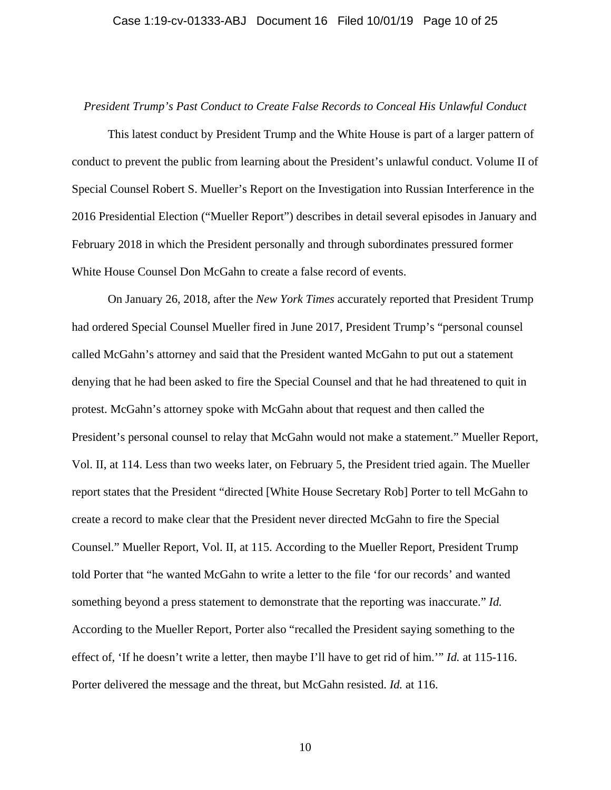#### *President Trump's Past Conduct to Create False Records to Conceal His Unlawful Conduct*

 This latest conduct by President Trump and the White House is part of a larger pattern of conduct to prevent the public from learning about the President's unlawful conduct. Volume II of Special Counsel Robert S. Mueller's Report on the Investigation into Russian Interference in the 2016 Presidential Election ("Mueller Report") describes in detail several episodes in January and February 2018 in which the President personally and through subordinates pressured former White House Counsel Don McGahn to create a false record of events.

On January 26, 2018, after the *New York Times* accurately reported that President Trump had ordered Special Counsel Mueller fired in June 2017, President Trump's "personal counsel called McGahn's attorney and said that the President wanted McGahn to put out a statement denying that he had been asked to fire the Special Counsel and that he had threatened to quit in protest. McGahn's attorney spoke with McGahn about that request and then called the President's personal counsel to relay that McGahn would not make a statement." Mueller Report, Vol. II, at 114. Less than two weeks later, on February 5, the President tried again. The Mueller report states that the President "directed [White House Secretary Rob] Porter to tell McGahn to create a record to make clear that the President never directed McGahn to fire the Special Counsel." Mueller Report, Vol. II, at 115. According to the Mueller Report, President Trump told Porter that "he wanted McGahn to write a letter to the file 'for our records' and wanted something beyond a press statement to demonstrate that the reporting was inaccurate." *Id.* According to the Mueller Report, Porter also "recalled the President saying something to the effect of, 'If he doesn't write a letter, then maybe I'll have to get rid of him.'" *Id.* at 115-116. Porter delivered the message and the threat, but McGahn resisted. *Id.* at 116.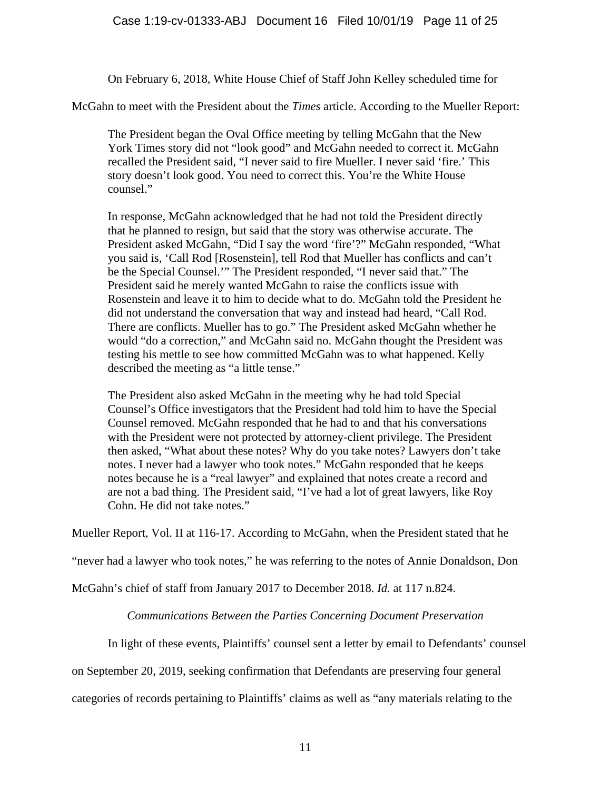On February 6, 2018, White House Chief of Staff John Kelley scheduled time for

McGahn to meet with the President about the *Times* article. According to the Mueller Report:

The President began the Oval Office meeting by telling McGahn that the New York Times story did not "look good" and McGahn needed to correct it. McGahn recalled the President said, "I never said to fire Mueller. I never said 'fire.' This story doesn't look good. You need to correct this. You're the White House counsel."

In response, McGahn acknowledged that he had not told the President directly that he planned to resign, but said that the story was otherwise accurate. The President asked McGahn, "Did I say the word 'fire'?" McGahn responded, "What you said is, 'Call Rod [Rosenstein], tell Rod that Mueller has conflicts and can't be the Special Counsel.'" The President responded, "I never said that." The President said he merely wanted McGahn to raise the conflicts issue with Rosenstein and leave it to him to decide what to do. McGahn told the President he did not understand the conversation that way and instead had heard, "Call Rod. There are conflicts. Mueller has to go." The President asked McGahn whether he would "do a correction," and McGahn said no. McGahn thought the President was testing his mettle to see how committed McGahn was to what happened. Kelly described the meeting as "a little tense."

The President also asked McGahn in the meeting why he had told Special Counsel's Office investigators that the President had told him to have the Special Counsel removed. McGahn responded that he had to and that his conversations with the President were not protected by attorney-client privilege. The President then asked, "What about these notes? Why do you take notes? Lawyers don't take notes. I never had a lawyer who took notes." McGahn responded that he keeps notes because he is a "real lawyer" and explained that notes create a record and are not a bad thing. The President said, "I've had a lot of great lawyers, like Roy Cohn. He did not take notes."

Mueller Report, Vol. II at 116-17. According to McGahn, when the President stated that he

"never had a lawyer who took notes," he was referring to the notes of Annie Donaldson, Don

McGahn's chief of staff from January 2017 to December 2018. *Id.* at 117 n.824.

# *Communications Between the Parties Concerning Document Preservation*

In light of these events, Plaintiffs' counsel sent a letter by email to Defendants' counsel

on September 20, 2019, seeking confirmation that Defendants are preserving four general

categories of records pertaining to Plaintiffs' claims as well as "any materials relating to the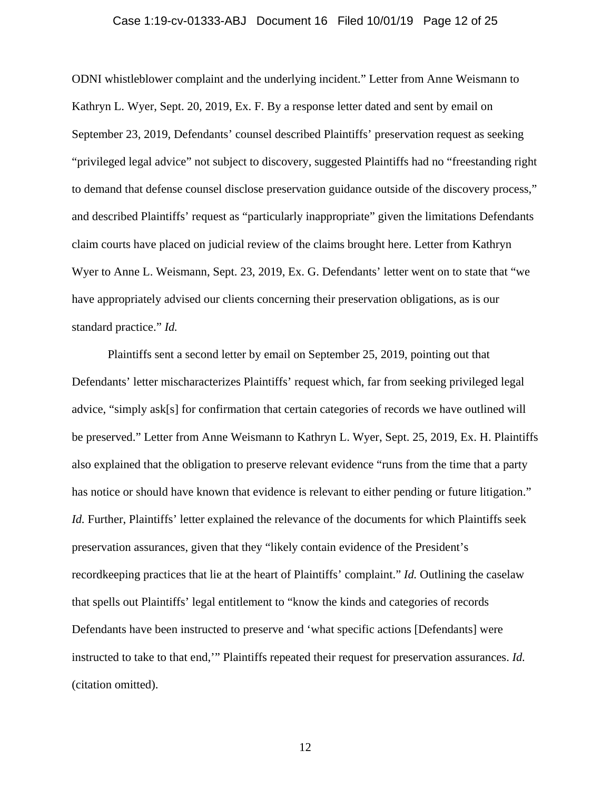#### Case 1:19-cv-01333-ABJ Document 16 Filed 10/01/19 Page 12 of 25

ODNI whistleblower complaint and the underlying incident." Letter from Anne Weismann to Kathryn L. Wyer, Sept. 20, 2019, Ex. F. By a response letter dated and sent by email on September 23, 2019, Defendants' counsel described Plaintiffs' preservation request as seeking "privileged legal advice" not subject to discovery, suggested Plaintiffs had no "freestanding right to demand that defense counsel disclose preservation guidance outside of the discovery process," and described Plaintiffs' request as "particularly inappropriate" given the limitations Defendants claim courts have placed on judicial review of the claims brought here. Letter from Kathryn Wyer to Anne L. Weismann, Sept. 23, 2019, Ex. G. Defendants' letter went on to state that "we have appropriately advised our clients concerning their preservation obligations, as is our standard practice." *Id.* 

 Plaintiffs sent a second letter by email on September 25, 2019, pointing out that Defendants' letter mischaracterizes Plaintiffs' request which, far from seeking privileged legal advice, "simply ask[s] for confirmation that certain categories of records we have outlined will be preserved." Letter from Anne Weismann to Kathryn L. Wyer, Sept. 25, 2019, Ex. H. Plaintiffs also explained that the obligation to preserve relevant evidence "runs from the time that a party has notice or should have known that evidence is relevant to either pending or future litigation." *Id.* Further, Plaintiffs' letter explained the relevance of the documents for which Plaintiffs seek preservation assurances, given that they "likely contain evidence of the President's recordkeeping practices that lie at the heart of Plaintiffs' complaint." *Id.* Outlining the caselaw that spells out Plaintiffs' legal entitlement to "know the kinds and categories of records Defendants have been instructed to preserve and 'what specific actions [Defendants] were instructed to take to that end,'" Plaintiffs repeated their request for preservation assurances. *Id.* (citation omitted).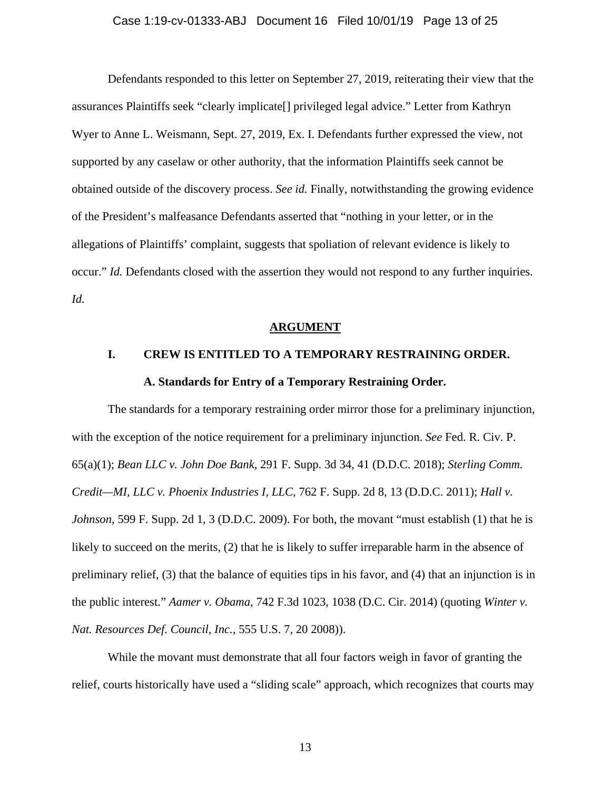#### Case 1:19-cv-01333-ABJ Document 16 Filed 10/01/19 Page 13 of 25

 Defendants responded to this letter on September 27, 2019, reiterating their view that the assurances Plaintiffs seek "clearly implicate[] privileged legal advice." Letter from Kathryn Wyer to Anne L. Weismann, Sept. 27, 2019, Ex. I. Defendants further expressed the view, not supported by any caselaw or other authority, that the information Plaintiffs seek cannot be obtained outside of the discovery process. *See id.* Finally, notwithstanding the growing evidence of the President's malfeasance Defendants asserted that "nothing in your letter, or in the allegations of Plaintiffs' complaint, suggests that spoliation of relevant evidence is likely to occur." *Id.* Defendants closed with the assertion they would not respond to any further inquiries. *Id.*

#### **ARGUMENT**

# **I. CREW IS ENTITLED TO A TEMPORARY RESTRAINING ORDER.**

**A. Standards for Entry of a Temporary Restraining Order.** 

 The standards for a temporary restraining order mirror those for a preliminary injunction, with the exception of the notice requirement for a preliminary injunction. *See* Fed. R. Civ. P. 65(a)(1); *Bean LLC v. John Doe Bank*, 291 F. Supp. 3d 34, 41 (D.D.C. 2018); *Sterling Comm. Credit—MI, LLC v. Phoenix Industries I, LLC*, 762 F. Supp. 2d 8, 13 (D.D.C. 2011); *Hall v. Johnson*, 599 F. Supp. 2d 1, 3 (D.D.C. 2009). For both, the movant "must establish (1) that he is likely to succeed on the merits, (2) that he is likely to suffer irreparable harm in the absence of preliminary relief, (3) that the balance of equities tips in his favor, and (4) that an injunction is in the public interest." *Aamer v. Obama*, 742 F.3d 1023, 1038 (D.C. Cir. 2014) (quoting *Winter v. Nat. Resources Def. Council, Inc.*, 555 U.S. 7, 20 2008)).

 While the movant must demonstrate that all four factors weigh in favor of granting the relief, courts historically have used a "sliding scale" approach, which recognizes that courts may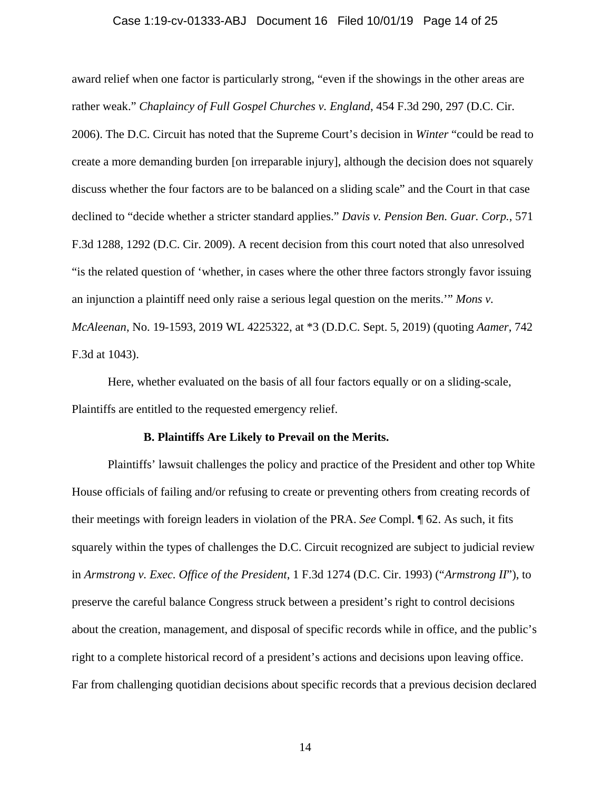#### Case 1:19-cv-01333-ABJ Document 16 Filed 10/01/19 Page 14 of 25

award relief when one factor is particularly strong, "even if the showings in the other areas are rather weak." *Chaplaincy of Full Gospel Churches v. England*, 454 F.3d 290, 297 (D.C. Cir. 2006). The D.C. Circuit has noted that the Supreme Court's decision in *Winter* "could be read to create a more demanding burden [on irreparable injury], although the decision does not squarely discuss whether the four factors are to be balanced on a sliding scale" and the Court in that case declined to "decide whether a stricter standard applies." *Davis v. Pension Ben. Guar. Corp.*, 571 F.3d 1288, 1292 (D.C. Cir. 2009). A recent decision from this court noted that also unresolved "is the related question of 'whether, in cases where the other three factors strongly favor issuing an injunction a plaintiff need only raise a serious legal question on the merits.'" *Mons v. McAleenan*, No. 19-1593, 2019 WL 4225322, at \*3 (D.D.C. Sept. 5, 2019) (quoting *Aamer*, 742 F.3d at 1043).

 Here, whether evaluated on the basis of all four factors equally or on a sliding-scale, Plaintiffs are entitled to the requested emergency relief.

#### **B. Plaintiffs Are Likely to Prevail on the Merits.**

 Plaintiffs' lawsuit challenges the policy and practice of the President and other top White House officials of failing and/or refusing to create or preventing others from creating records of their meetings with foreign leaders in violation of the PRA. *See* Compl. ¶ 62. As such, it fits squarely within the types of challenges the D.C. Circuit recognized are subject to judicial review in *Armstrong v. Exec. Office of the President*, 1 F.3d 1274 (D.C. Cir. 1993) ("*Armstrong II*"), to preserve the careful balance Congress struck between a president's right to control decisions about the creation, management, and disposal of specific records while in office, and the public's right to a complete historical record of a president's actions and decisions upon leaving office. Far from challenging quotidian decisions about specific records that a previous decision declared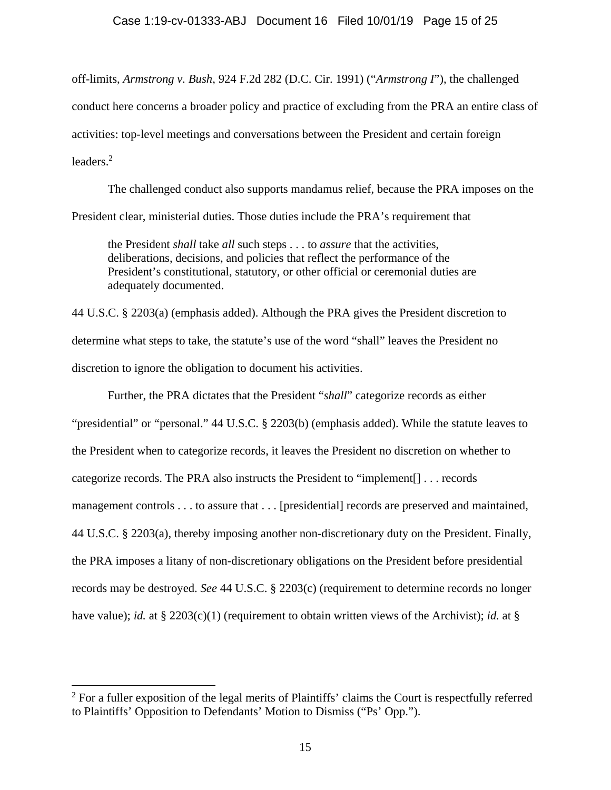#### Case 1:19-cv-01333-ABJ Document 16 Filed 10/01/19 Page 15 of 25

off-limits, *Armstrong v. Bush*, 924 F.2d 282 (D.C. Cir. 1991) ("*Armstrong I*"), the challenged conduct here concerns a broader policy and practice of excluding from the PRA an entire class of activities: top-level meetings and conversations between the President and certain foreign leaders.2

 The challenged conduct also supports mandamus relief, because the PRA imposes on the President clear, ministerial duties. Those duties include the PRA's requirement that

the President *shall* take *all* such steps . . . to *assure* that the activities, deliberations, decisions, and policies that reflect the performance of the President's constitutional, statutory, or other official or ceremonial duties are adequately documented.

44 U.S.C. § 2203(a) (emphasis added). Although the PRA gives the President discretion to determine what steps to take, the statute's use of the word "shall" leaves the President no discretion to ignore the obligation to document his activities.

 Further, the PRA dictates that the President "*shall*" categorize records as either "presidential" or "personal." 44 U.S.C. § 2203(b) (emphasis added). While the statute leaves to the President when to categorize records, it leaves the President no discretion on whether to categorize records. The PRA also instructs the President to "implement[] . . . records management controls . . . to assure that . . . [presidential] records are preserved and maintained, 44 U.S.C. § 2203(a), thereby imposing another non-discretionary duty on the President. Finally, the PRA imposes a litany of non-discretionary obligations on the President before presidential records may be destroyed. *See* 44 U.S.C. § 2203(c) (requirement to determine records no longer have value); *id.* at § 2203(c)(1) (requirement to obtain written views of the Archivist); *id.* at §

 $2$  For a fuller exposition of the legal merits of Plaintiffs' claims the Court is respectfully referred to Plaintiffs' Opposition to Defendants' Motion to Dismiss ("Ps' Opp.").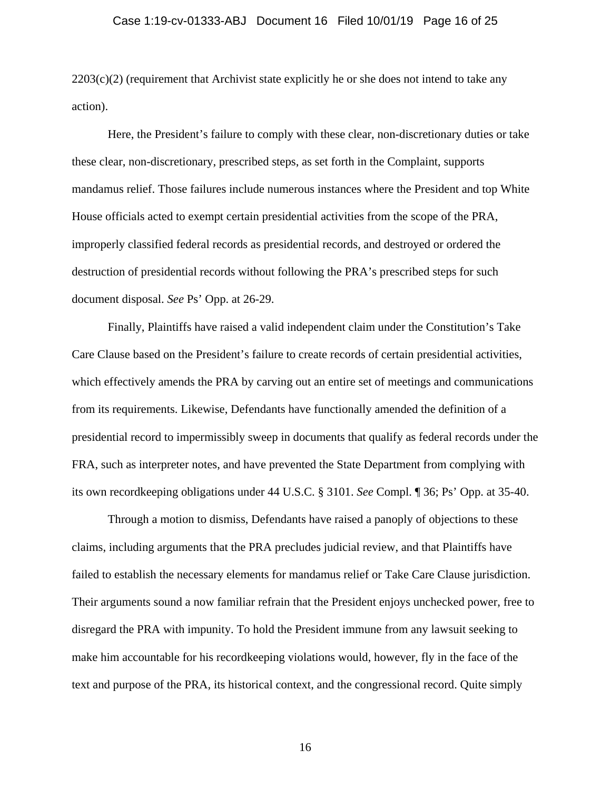#### Case 1:19-cv-01333-ABJ Document 16 Filed 10/01/19 Page 16 of 25

 $2203(c)(2)$  (requirement that Archivist state explicitly he or she does not intend to take any action).

 Here, the President's failure to comply with these clear, non-discretionary duties or take these clear, non-discretionary, prescribed steps, as set forth in the Complaint, supports mandamus relief. Those failures include numerous instances where the President and top White House officials acted to exempt certain presidential activities from the scope of the PRA, improperly classified federal records as presidential records, and destroyed or ordered the destruction of presidential records without following the PRA's prescribed steps for such document disposal. *See* Ps' Opp. at 26-29.

 Finally, Plaintiffs have raised a valid independent claim under the Constitution's Take Care Clause based on the President's failure to create records of certain presidential activities, which effectively amends the PRA by carving out an entire set of meetings and communications from its requirements. Likewise, Defendants have functionally amended the definition of a presidential record to impermissibly sweep in documents that qualify as federal records under the FRA, such as interpreter notes, and have prevented the State Department from complying with its own recordkeeping obligations under 44 U.S.C. § 3101. *See* Compl. ¶ 36; Ps' Opp. at 35-40.

 Through a motion to dismiss, Defendants have raised a panoply of objections to these claims, including arguments that the PRA precludes judicial review, and that Plaintiffs have failed to establish the necessary elements for mandamus relief or Take Care Clause jurisdiction. Their arguments sound a now familiar refrain that the President enjoys unchecked power, free to disregard the PRA with impunity. To hold the President immune from any lawsuit seeking to make him accountable for his recordkeeping violations would, however, fly in the face of the text and purpose of the PRA, its historical context, and the congressional record. Quite simply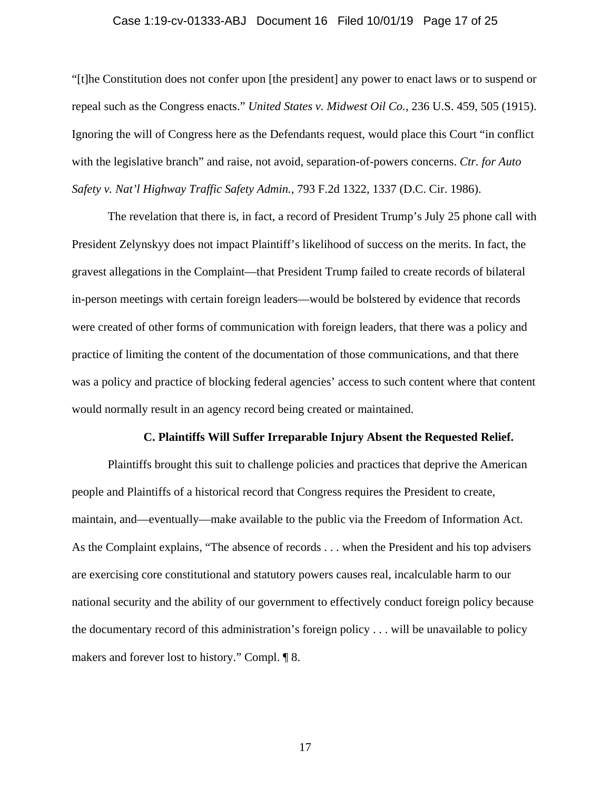#### Case 1:19-cv-01333-ABJ Document 16 Filed 10/01/19 Page 17 of 25

"[t]he Constitution does not confer upon [the president] any power to enact laws or to suspend or repeal such as the Congress enacts." *United States v. Midwest Oil Co.*, 236 U.S. 459, 505 (1915). Ignoring the will of Congress here as the Defendants request, would place this Court "in conflict with the legislative branch" and raise, not avoid, separation-of-powers concerns. *Ctr. for Auto Safety v. Nat'l Highway Traffic Safety Admin.*, 793 F.2d 1322, 1337 (D.C. Cir. 1986).

 The revelation that there is, in fact, a record of President Trump's July 25 phone call with President Zelynskyy does not impact Plaintiff's likelihood of success on the merits. In fact, the gravest allegations in the Complaint—that President Trump failed to create records of bilateral in-person meetings with certain foreign leaders—would be bolstered by evidence that records were created of other forms of communication with foreign leaders, that there was a policy and practice of limiting the content of the documentation of those communications, and that there was a policy and practice of blocking federal agencies' access to such content where that content would normally result in an agency record being created or maintained.

#### **C. Plaintiffs Will Suffer Irreparable Injury Absent the Requested Relief.**

Plaintiffs brought this suit to challenge policies and practices that deprive the American people and Plaintiffs of a historical record that Congress requires the President to create, maintain, and—eventually—make available to the public via the Freedom of Information Act. As the Complaint explains, "The absence of records . . . when the President and his top advisers are exercising core constitutional and statutory powers causes real, incalculable harm to our national security and the ability of our government to effectively conduct foreign policy because the documentary record of this administration's foreign policy . . . will be unavailable to policy makers and forever lost to history." Compl. ¶ 8.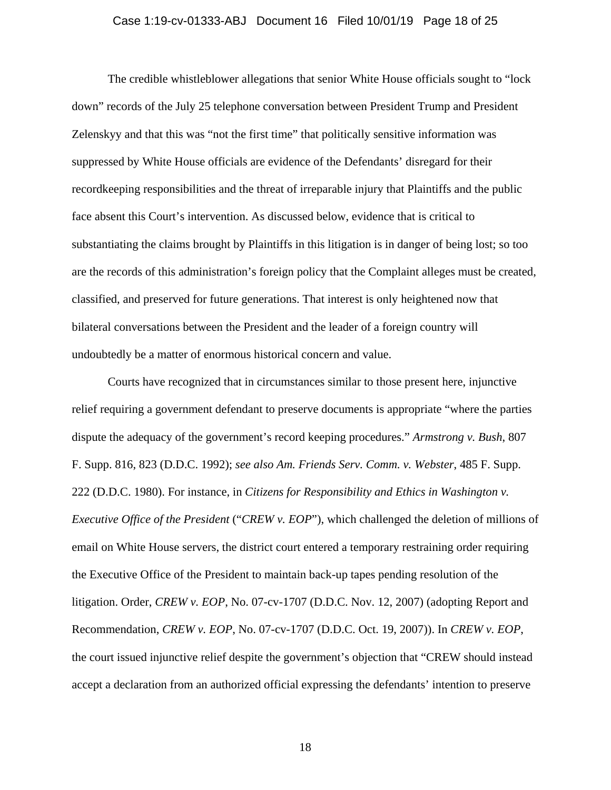#### Case 1:19-cv-01333-ABJ Document 16 Filed 10/01/19 Page 18 of 25

The credible whistleblower allegations that senior White House officials sought to "lock down" records of the July 25 telephone conversation between President Trump and President Zelenskyy and that this was "not the first time" that politically sensitive information was suppressed by White House officials are evidence of the Defendants' disregard for their recordkeeping responsibilities and the threat of irreparable injury that Plaintiffs and the public face absent this Court's intervention. As discussed below, evidence that is critical to substantiating the claims brought by Plaintiffs in this litigation is in danger of being lost; so too are the records of this administration's foreign policy that the Complaint alleges must be created, classified, and preserved for future generations. That interest is only heightened now that bilateral conversations between the President and the leader of a foreign country will undoubtedly be a matter of enormous historical concern and value.

Courts have recognized that in circumstances similar to those present here, injunctive relief requiring a government defendant to preserve documents is appropriate "where the parties dispute the adequacy of the government's record keeping procedures." *Armstrong v. Bush*, 807 F. Supp. 816, 823 (D.D.C. 1992); *see also Am. Friends Serv. Comm. v. Webster*, 485 F. Supp. 222 (D.D.C. 1980). For instance, in *Citizens for Responsibility and Ethics in Washington v. Executive Office of the President* ("*CREW v. EOP*"), which challenged the deletion of millions of email on White House servers, the district court entered a temporary restraining order requiring the Executive Office of the President to maintain back-up tapes pending resolution of the litigation. Order, *CREW v. EOP*, No. 07-cv-1707 (D.D.C. Nov. 12, 2007) (adopting Report and Recommendation, *CREW v. EOP*, No. 07-cv-1707 (D.D.C. Oct. 19, 2007)). In *CREW v. EOP*, the court issued injunctive relief despite the government's objection that "CREW should instead accept a declaration from an authorized official expressing the defendants' intention to preserve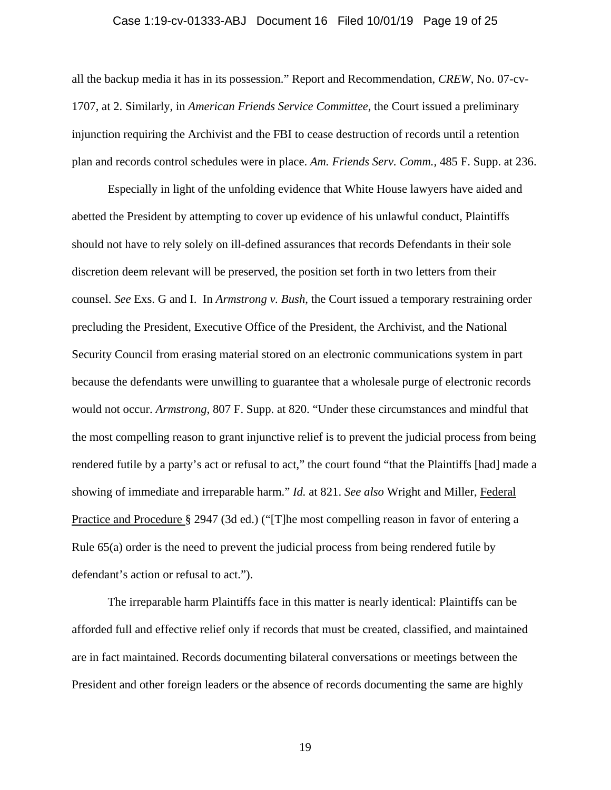#### Case 1:19-cv-01333-ABJ Document 16 Filed 10/01/19 Page 19 of 25

all the backup media it has in its possession." Report and Recommendation, *CREW*, No. 07-cv-1707, at 2. Similarly, in *American Friends Service Committee*, the Court issued a preliminary injunction requiring the Archivist and the FBI to cease destruction of records until a retention plan and records control schedules were in place. *Am. Friends Serv. Comm.,* 485 F. Supp. at 236.

Especially in light of the unfolding evidence that White House lawyers have aided and abetted the President by attempting to cover up evidence of his unlawful conduct, Plaintiffs should not have to rely solely on ill-defined assurances that records Defendants in their sole discretion deem relevant will be preserved, the position set forth in two letters from their counsel. *See* Exs. G and I. In *Armstrong v. Bush*, the Court issued a temporary restraining order precluding the President, Executive Office of the President, the Archivist, and the National Security Council from erasing material stored on an electronic communications system in part because the defendants were unwilling to guarantee that a wholesale purge of electronic records would not occur. *Armstrong*, 807 F. Supp. at 820. "Under these circumstances and mindful that the most compelling reason to grant injunctive relief is to prevent the judicial process from being rendered futile by a party's act or refusal to act," the court found "that the Plaintiffs [had] made a showing of immediate and irreparable harm." *Id.* at 821. *See also* Wright and Miller, Federal Practice and Procedure § 2947 (3d ed.) ("[T]he most compelling reason in favor of entering a Rule 65(a) order is the need to prevent the judicial process from being rendered futile by defendant's action or refusal to act.").

The irreparable harm Plaintiffs face in this matter is nearly identical: Plaintiffs can be afforded full and effective relief only if records that must be created, classified, and maintained are in fact maintained. Records documenting bilateral conversations or meetings between the President and other foreign leaders or the absence of records documenting the same are highly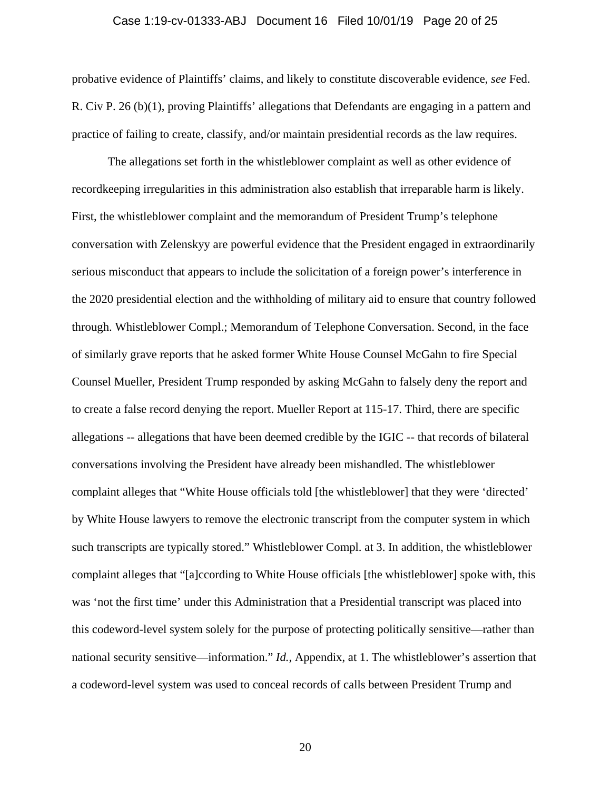#### Case 1:19-cv-01333-ABJ Document 16 Filed 10/01/19 Page 20 of 25

probative evidence of Plaintiffs' claims, and likely to constitute discoverable evidence, *see* Fed. R. Civ P. 26 (b)(1), proving Plaintiffs' allegations that Defendants are engaging in a pattern and practice of failing to create, classify, and/or maintain presidential records as the law requires.

The allegations set forth in the whistleblower complaint as well as other evidence of recordkeeping irregularities in this administration also establish that irreparable harm is likely. First, the whistleblower complaint and the memorandum of President Trump's telephone conversation with Zelenskyy are powerful evidence that the President engaged in extraordinarily serious misconduct that appears to include the solicitation of a foreign power's interference in the 2020 presidential election and the withholding of military aid to ensure that country followed through. Whistleblower Compl.; Memorandum of Telephone Conversation. Second, in the face of similarly grave reports that he asked former White House Counsel McGahn to fire Special Counsel Mueller, President Trump responded by asking McGahn to falsely deny the report and to create a false record denying the report. Mueller Report at 115-17. Third, there are specific allegations -- allegations that have been deemed credible by the IGIC -- that records of bilateral conversations involving the President have already been mishandled. The whistleblower complaint alleges that "White House officials told [the whistleblower] that they were 'directed' by White House lawyers to remove the electronic transcript from the computer system in which such transcripts are typically stored." Whistleblower Compl. at 3. In addition, the whistleblower complaint alleges that "[a]ccording to White House officials [the whistleblower] spoke with, this was 'not the first time' under this Administration that a Presidential transcript was placed into this codeword-level system solely for the purpose of protecting politically sensitive—rather than national security sensitive—information." *Id.*, Appendix, at 1. The whistleblower's assertion that a codeword-level system was used to conceal records of calls between President Trump and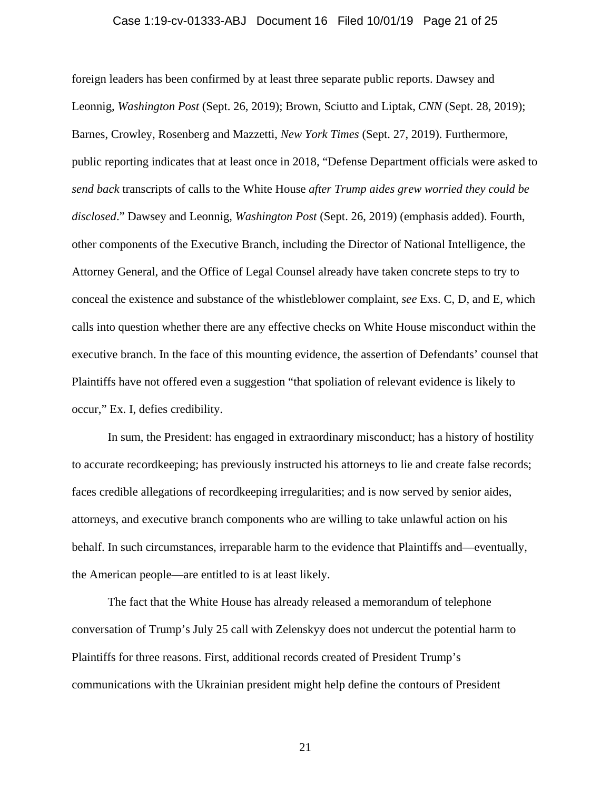#### Case 1:19-cv-01333-ABJ Document 16 Filed 10/01/19 Page 21 of 25

foreign leaders has been confirmed by at least three separate public reports. Dawsey and Leonnig, *Washington Post* (Sept. 26, 2019); Brown, Sciutto and Liptak, *CNN* (Sept. 28, 2019); Barnes, Crowley, Rosenberg and Mazzetti, *New York Times* (Sept. 27, 2019). Furthermore, public reporting indicates that at least once in 2018, "Defense Department officials were asked to *send back* transcripts of calls to the White House *after Trump aides grew worried they could be disclosed*." Dawsey and Leonnig, *Washington Post* (Sept. 26, 2019) (emphasis added). Fourth, other components of the Executive Branch, including the Director of National Intelligence, the Attorney General, and the Office of Legal Counsel already have taken concrete steps to try to conceal the existence and substance of the whistleblower complaint, *see* Exs. C, D, and E, which calls into question whether there are any effective checks on White House misconduct within the executive branch. In the face of this mounting evidence, the assertion of Defendants' counsel that Plaintiffs have not offered even a suggestion "that spoliation of relevant evidence is likely to occur," Ex. I, defies credibility.

In sum, the President: has engaged in extraordinary misconduct; has a history of hostility to accurate recordkeeping; has previously instructed his attorneys to lie and create false records; faces credible allegations of recordkeeping irregularities; and is now served by senior aides, attorneys, and executive branch components who are willing to take unlawful action on his behalf. In such circumstances, irreparable harm to the evidence that Plaintiffs and—eventually, the American people—are entitled to is at least likely.

The fact that the White House has already released a memorandum of telephone conversation of Trump's July 25 call with Zelenskyy does not undercut the potential harm to Plaintiffs for three reasons. First, additional records created of President Trump's communications with the Ukrainian president might help define the contours of President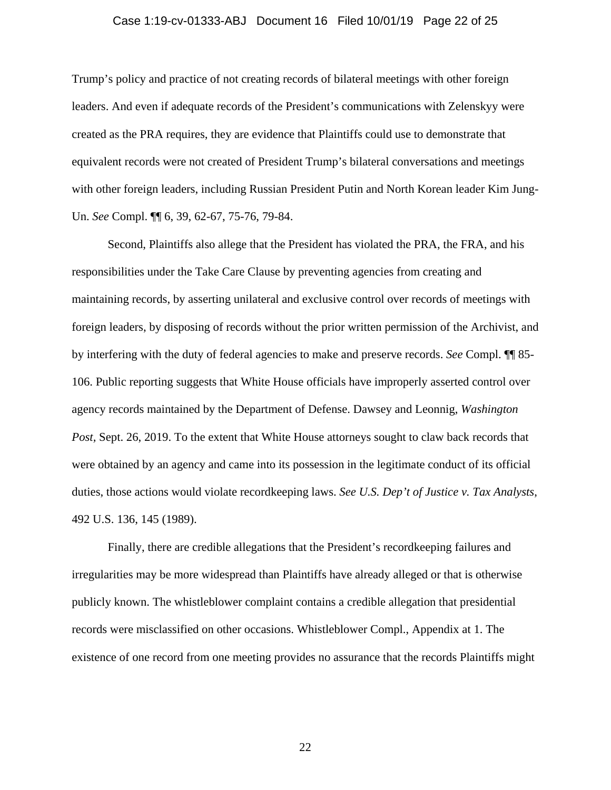#### Case 1:19-cv-01333-ABJ Document 16 Filed 10/01/19 Page 22 of 25

Trump's policy and practice of not creating records of bilateral meetings with other foreign leaders. And even if adequate records of the President's communications with Zelenskyy were created as the PRA requires, they are evidence that Plaintiffs could use to demonstrate that equivalent records were not created of President Trump's bilateral conversations and meetings with other foreign leaders, including Russian President Putin and North Korean leader Kim Jung-Un. *See* Compl. ¶¶ 6, 39, 62-67, 75-76, 79-84.

Second, Plaintiffs also allege that the President has violated the PRA, the FRA, and his responsibilities under the Take Care Clause by preventing agencies from creating and maintaining records, by asserting unilateral and exclusive control over records of meetings with foreign leaders, by disposing of records without the prior written permission of the Archivist, and by interfering with the duty of federal agencies to make and preserve records. *See* Compl. ¶¶ 85- 106. Public reporting suggests that White House officials have improperly asserted control over agency records maintained by the Department of Defense. Dawsey and Leonnig, *Washington Post, Sept. 26, 2019. To the extent that White House attorneys sought to claw back records that* were obtained by an agency and came into its possession in the legitimate conduct of its official duties, those actions would violate recordkeeping laws. *See U.S. Dep't of Justice v. Tax Analysts*, 492 U.S. 136, 145 (1989).

Finally, there are credible allegations that the President's recordkeeping failures and irregularities may be more widespread than Plaintiffs have already alleged or that is otherwise publicly known. The whistleblower complaint contains a credible allegation that presidential records were misclassified on other occasions. Whistleblower Compl., Appendix at 1. The existence of one record from one meeting provides no assurance that the records Plaintiffs might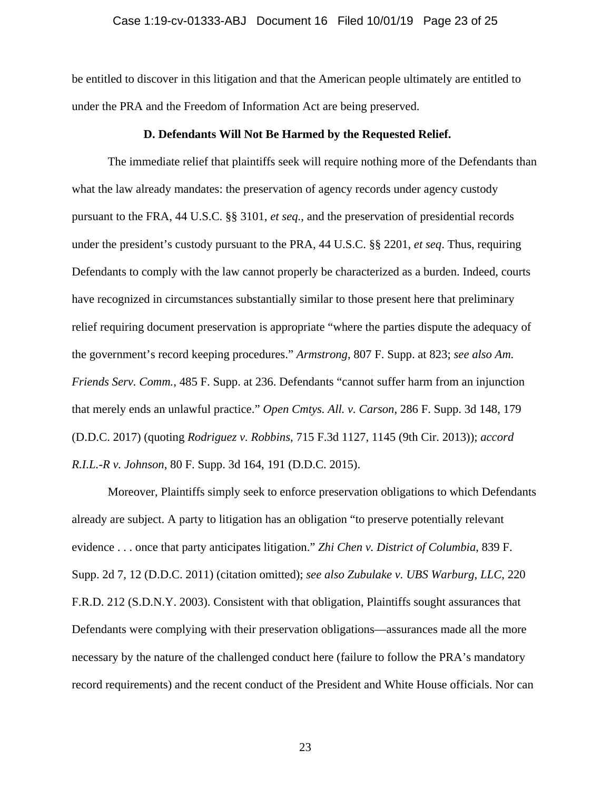#### Case 1:19-cv-01333-ABJ Document 16 Filed 10/01/19 Page 23 of 25

be entitled to discover in this litigation and that the American people ultimately are entitled to under the PRA and the Freedom of Information Act are being preserved.

#### **D. Defendants Will Not Be Harmed by the Requested Relief.**

 The immediate relief that plaintiffs seek will require nothing more of the Defendants than what the law already mandates: the preservation of agency records under agency custody pursuant to the FRA, 44 U.S.C. §§ 3101, *et seq.*, and the preservation of presidential records under the president's custody pursuant to the PRA, 44 U.S.C. §§ 2201, *et seq*. Thus, requiring Defendants to comply with the law cannot properly be characterized as a burden. Indeed, courts have recognized in circumstances substantially similar to those present here that preliminary relief requiring document preservation is appropriate "where the parties dispute the adequacy of the government's record keeping procedures." *Armstrong*, 807 F. Supp. at 823; *see also Am. Friends Serv. Comm.*, 485 F. Supp. at 236. Defendants "cannot suffer harm from an injunction that merely ends an unlawful practice." *Open Cmtys. All. v. Carson*, 286 F. Supp. 3d 148, 179 (D.D.C. 2017) (quoting *Rodriguez v. Robbins*, 715 F.3d 1127, 1145 (9th Cir. 2013)); *accord R.I.L.-R v. Johnson*, 80 F. Supp. 3d 164, 191 (D.D.C. 2015).

 Moreover, Plaintiffs simply seek to enforce preservation obligations to which Defendants already are subject. A party to litigation has an obligation "to preserve potentially relevant evidence . . . once that party anticipates litigation." *Zhi Chen v. District of Columbia*, 839 F. Supp. 2d 7, 12 (D.D.C. 2011) (citation omitted); *see also Zubulake v. UBS Warburg, LLC*, 220 F.R.D. 212 (S.D.N.Y. 2003). Consistent with that obligation, Plaintiffs sought assurances that Defendants were complying with their preservation obligations—assurances made all the more necessary by the nature of the challenged conduct here (failure to follow the PRA's mandatory record requirements) and the recent conduct of the President and White House officials. Nor can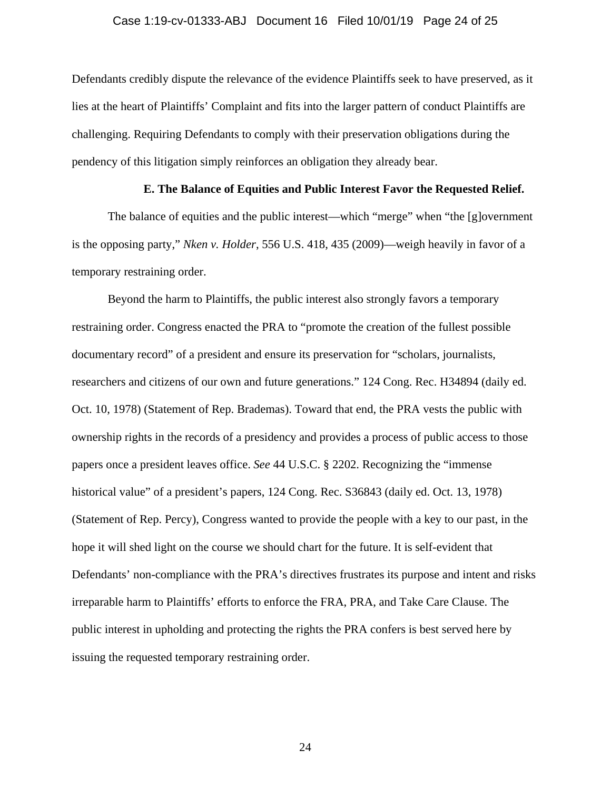#### Case 1:19-cv-01333-ABJ Document 16 Filed 10/01/19 Page 24 of 25

Defendants credibly dispute the relevance of the evidence Plaintiffs seek to have preserved, as it lies at the heart of Plaintiffs' Complaint and fits into the larger pattern of conduct Plaintiffs are challenging. Requiring Defendants to comply with their preservation obligations during the pendency of this litigation simply reinforces an obligation they already bear.

#### **E. The Balance of Equities and Public Interest Favor the Requested Relief.**

The balance of equities and the public interest—which "merge" when "the [g]overnment is the opposing party," *Nken v. Holder*, 556 U.S. 418, 435 (2009)—weigh heavily in favor of a temporary restraining order.

 Beyond the harm to Plaintiffs, the public interest also strongly favors a temporary restraining order. Congress enacted the PRA to "promote the creation of the fullest possible documentary record" of a president and ensure its preservation for "scholars, journalists, researchers and citizens of our own and future generations." 124 Cong. Rec. H34894 (daily ed. Oct. 10, 1978) (Statement of Rep. Brademas). Toward that end, the PRA vests the public with ownership rights in the records of a presidency and provides a process of public access to those papers once a president leaves office. *See* 44 U.S.C. § 2202. Recognizing the "immense historical value" of a president's papers, 124 Cong. Rec. S36843 (daily ed. Oct. 13, 1978) (Statement of Rep. Percy), Congress wanted to provide the people with a key to our past, in the hope it will shed light on the course we should chart for the future. It is self-evident that Defendants' non-compliance with the PRA's directives frustrates its purpose and intent and risks irreparable harm to Plaintiffs' efforts to enforce the FRA, PRA, and Take Care Clause. The public interest in upholding and protecting the rights the PRA confers is best served here by issuing the requested temporary restraining order.